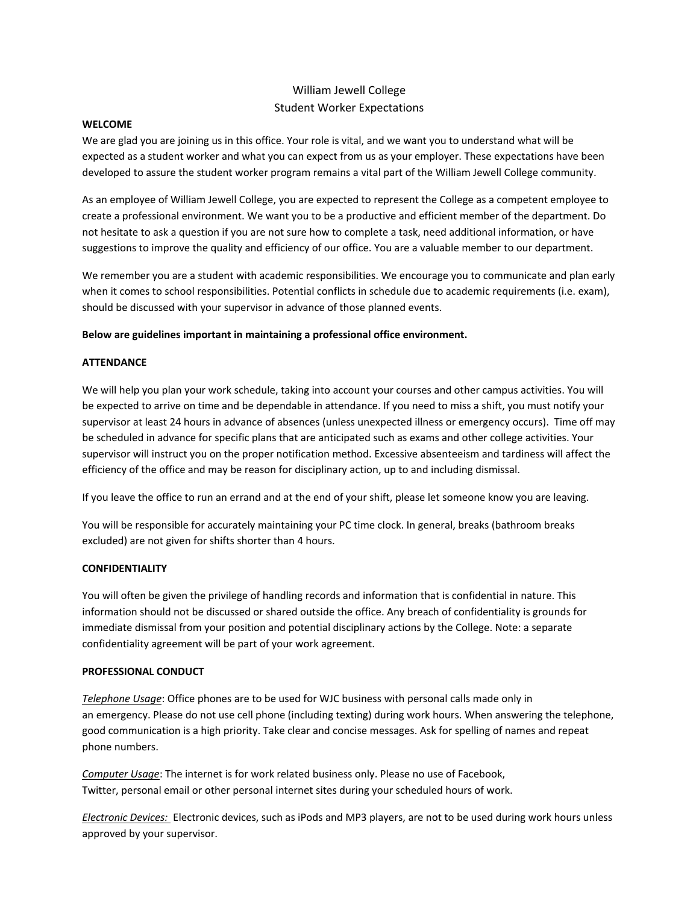# William Jewell College Student Worker Expectations

## **WELCOME**

We are glad you are joining us in this office. Your role is vital, and we want you to understand what will be expected as a student worker and what you can expect from us as your employer. These expectations have been developed to assure the student worker program remains a vital part of the William Jewell College community.

As an employee of William Jewell College, you are expected to represent the College as a competent employee to create a professional environment. We want you to be a productive and efficient member of the department. Do not hesitate to ask a question if you are not sure how to complete a task, need additional information, or have suggestions to improve the quality and efficiency of our office. You are a valuable member to our department.

We remember you are a student with academic responsibilities. We encourage you to communicate and plan early when it comes to school responsibilities. Potential conflicts in schedule due to academic requirements (i.e. exam), should be discussed with your supervisor in advance of those planned events.

# **Below are guidelines important in maintaining a professional office environment.**

# **ATTENDANCE**

We will help you plan your work schedule, taking into account your courses and other campus activities. You will be expected to arrive on time and be dependable in attendance. If you need to miss a shift, you must notify your supervisor at least 24 hours in advance of absences (unless unexpected illness or emergency occurs). Time off may be scheduled in advance for specific plans that are anticipated such as exams and other college activities. Your supervisor will instruct you on the proper notification method. Excessive absenteeism and tardiness will affect the efficiency of the office and may be reason for disciplinary action, up to and including dismissal.

If you leave the office to run an errand and at the end of your shift, please let someone know you are leaving.

You will be responsible for accurately maintaining your PC time clock. In general, breaks (bathroom breaks excluded) are not given for shifts shorter than 4 hours.

#### **CONFIDENTIALITY**

You will often be given the privilege of handling records and information that is confidential in nature. This information should not be discussed or shared outside the office. Any breach of confidentiality is grounds for immediate dismissal from your position and potential disciplinary actions by the College. Note: a separate confidentiality agreement will be part of your work agreement.

#### **PROFESSIONAL CONDUCT**

*Telephone Usage*: Office phones are to be used for WJC business with personal calls made only in an emergency. Please do not use cell phone (including texting) during work hours. When answering the telephone, good communication is a high priority. Take clear and concise messages. Ask for spelling of names and repeat phone numbers.

*Computer Usage*: The internet is for work related business only. Please no use of Facebook, Twitter, personal email or other personal internet sites during your scheduled hours of work.

*Electronic Devices:* Electronic devices, such as iPods and MP3 players, are not to be used during work hours unless approved by your supervisor.